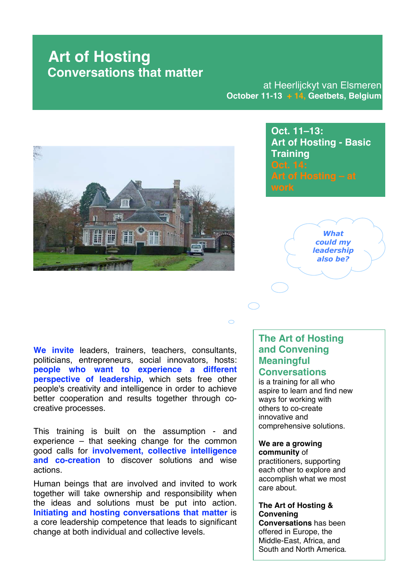at Heerlijckyt van Elsmeren **October 11-13 + 14, Geetbets, Belgium**



**Oct. 11–13: Art of Hosting - Basic Training**



**We invite** leaders, trainers, teachers, consultants, politicians, entrepreneurs, social innovators, hosts: **people who want to experience a different perspective of leadership**, which sets free other people's creativity and intelligence in order to achieve better cooperation and results together through cocreative processes.

This training is built on the assumption - and experience – that seeking change for the common good calls for **involvement, collective intelligence and co-creation** to discover solutions and wise actions.

Human beings that are involved and invited to work together will take ownership and responsibility when the ideas and solutions must be put into action. **Initiating and hosting conversations that matter** is a core leadership competence that leads to significant change at both individual and collective levels.

### **The Art of Hosting and Convening Meaningful Conversations**

 $\bigcirc$ 

is a training for all who aspire to learn and find new ways for working with others to co-create innovative and comprehensive solutions.

#### **We are a growing community** of

practitioners, supporting each other to explore and accomplish what we most care about.

### **The Art of Hosting & Convening Conversations** has been

offered in Europe, the Middle-East, Africa, and South and North America.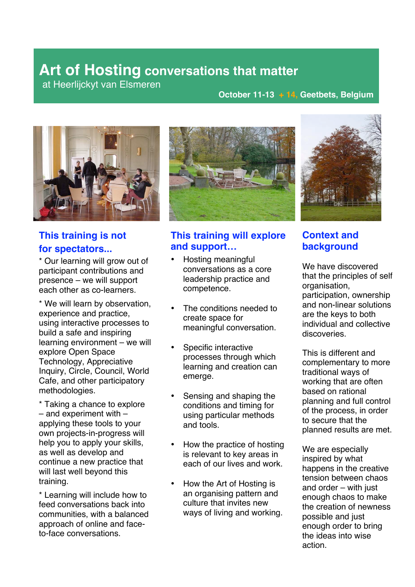at Heerlijckyt van Elsmeren

### **October 11-13 + 14, Geetbets, Belgium**



## **This training is not for spectators...**

\* Our learning will grow out of participant contributions and presence – we will support each other as co-learners.

\* We will learn by observation, experience and practice, using interactive processes to build a safe and inspiring learning environment – we will explore Open Space Technology, Appreciative Inquiry, Circle, Council, World Cafe, and other participatory methodologies.

\* Taking a chance to explore – and experiment with – applying these tools to your own projects-in-progress will help you to apply your skills, as well as develop and continue a new practice that will last well beyond this training.

\* Learning will include how to feed conversations back into communities, with a balanced approach of online and faceto-face conversations.



### **This training will explore and support…**

- Hosting meaningful conversations as a core leadership practice and competence.
- The conditions needed to create space for meaningful conversation.
- Specific interactive processes through which learning and creation can emerge.
- Sensing and shaping the conditions and timing for using particular methods and tools.
- How the practice of hosting is relevant to key areas in each of our lives and work.
- How the Art of Hosting is an organising pattern and culture that invites new ways of living and working.



### **Context and background**

We have discovered that the principles of self organisation, participation, ownership and non-linear solutions are the keys to both individual and collective discoveries.

This is different and complementary to more traditional ways of working that are often based on rational planning and full control of the process, in order to secure that the planned results are met.

We are especially inspired by what happens in the creative tension between chaos and order – with just enough chaos to make the creation of newness possible and just enough order to bring the ideas into wise action.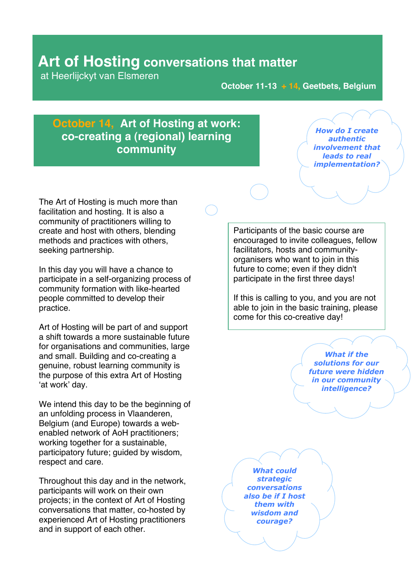at Heerlijckyt van Elsmeren

**October 11-13 + 14, Geetbets, Belgium**

### **October 14, Art of Hosting at work: co-creating a (regional) learning community**

How do I create authentic involvement that leads to real implementation?

The Art of Hosting is much more than facilitation and hosting. It is also a community of practitioners willing to create and host with others, blending methods and practices with others, seeking partnership.

In this day you will have a chance to participate in a self-organizing process of community formation with like-hearted people committed to develop their practice.

Art of Hosting will be part of and support a shift towards a more sustainable future for organisations and communities, large and small. Building and co-creating a genuine, robust learning community is the purpose of this extra Art of Hosting 'at work' day.

We intend this day to be the beginning of an unfolding process in Vlaanderen, Belgium (and Europe) towards a webenabled network of AoH practitioners; working together for a sustainable. participatory future; guided by wisdom, respect and care.

Throughout this day and in the network, participants will work on their own projects; in the context of Art of Hosting conversations that matter, co-hosted by experienced Art of Hosting practitioners and in support of each other.

Participants of the basic course are encouraged to invite colleagues, fellow facilitators, hosts and communityorganisers who want to join in this future to come; even if they didn't participate in the first three days!

If this is calling to you, and you are not able to join in the basic training, please come for this co-creative day!

> **What if the** solutions for our future were hidden in our community intelligence?

**What could** strategic conversations also be if I host them with wisdom and courage?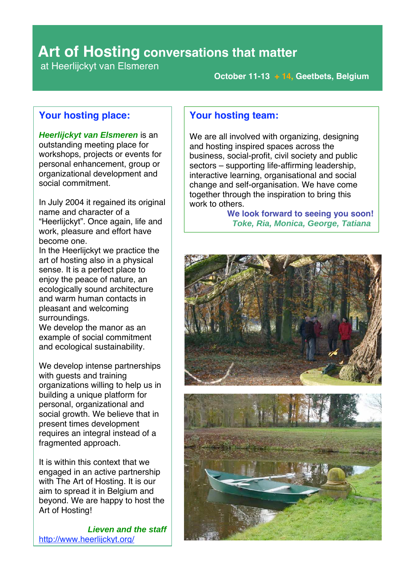at Heerlijckyt van Elsmeren

**October 11-13 + 14, Geetbets, Belgium**

### **Your hosting place:**

**Heerlijckyt van Elsmeren** is an outstanding meeting place for workshops, projects or events for personal enhancement, group or organizational development and social commitment.

In July 2004 it regained its original name and character of a "Heerlijckyt". Once again, life and work, pleasure and effort have become one.

In the Heerlijckyt we practice the art of hosting also in a physical sense. It is a perfect place to enjoy the peace of nature, an ecologically sound architecture and warm human contacts in pleasant and welcoming surroundings.

We develop the manor as an example of social commitment and ecological sustainability.

We develop intense partnerships with guests and training organizations willing to help us in building a unique platform for personal, organizational and social growth. We believe that in present times development requires an integral instead of a fragmented approach.

It is within this context that we engaged in an active partnership with The Art of Hosting. It is our aim to spread it in Belgium and beyond. We are happy to host the Art of Hosting!

**Lieven and the staff** http://www.heerlijckyt.org/

### **Your hosting team:**

We are all involved with organizing, designing and hosting inspired spaces across the business, social-profit, civil society and public sectors – supporting life-affirming leadership, interactive learning, organisational and social change and self-organisation. We have come together through the inspiration to bring this work to others.

**We look forward to seeing you soon! Toke, Ria, Monica, George, Tatiana**

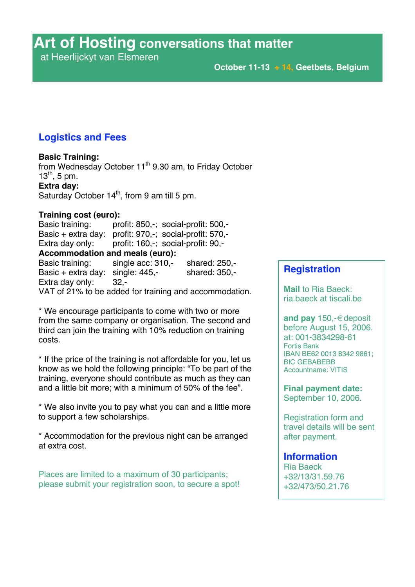at Heerlijckyt van Elsmeren

### **Logistics and Fees**

### **Basic Training:**

from Wednesday October 11th 9.30 am, to Friday October  $13^{th}$ , 5 pm. **Extra day:** Saturday October  $14<sup>th</sup>$ , from 9 am till 5 pm.

### **Training cost (euro):**

Basic training: profit: 850,-; social-profit: 500,-Basic + extra day: profit: 970,-; social-profit: 570,- Extra day only: profit: 160,-; social-profit: 90,- **Accommodation and meals (euro):** Basic training: single acc: 310,- shared: 250,-Basic + extra day: single:  $445$ , shared:  $350$ , Extra day only: 32,-

VAT of 21% to be added for training and accommodation.

\* We encourage participants to come with two or more from the same company or organisation. The second and third can join the training with 10% reduction on training costs.

\* If the price of the training is not affordable for you, let us know as we hold the following principle: "To be part of the training, everyone should contribute as much as they can and a little bit more; with a minimum of 50% of the fee".

\* We also invite you to pay what you can and a little more to support a few scholarships.

\* Accommodation for the previous night can be arranged at extra cost.

Places are limited to a maximum of 30 participants; please submit your registration soon, to secure a spot!

### **Registration**

**Mail** to Ria Baeck: ria.baeck at tiscali.be

**and pay** 150,-€deposit before August 15, 2006. at: 001-3834298-61 Fortis Bank IBAN BE62 0013 8342 9861; BIC GEBABEBB Accountname: VITIS

**Final payment date:** September 10, 2006.

Registration form and travel details will be sent after payment.

### **Information**

Ria Baeck +32/13/31.59.76 +32/473/50.21.76